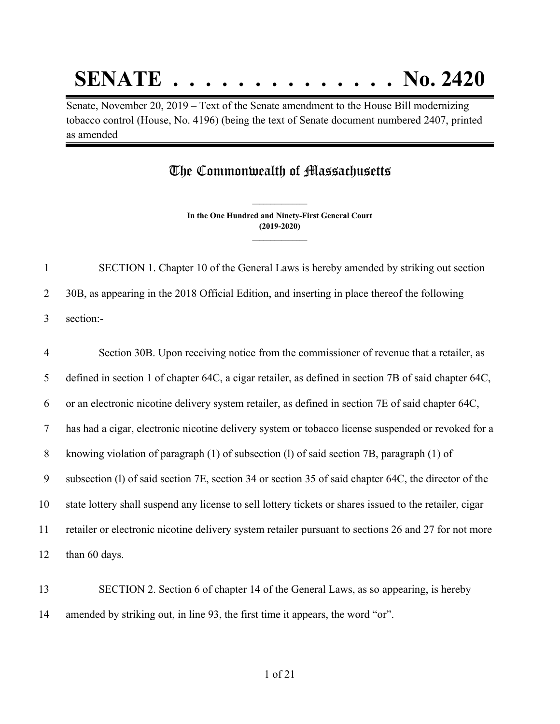## **SENATE . . . . . . . . . . . . . . No. 2420**

Senate, November 20, 2019 – Text of the Senate amendment to the House Bill modernizing tobacco control (House, No. 4196) (being the text of Senate document numbered 2407, printed as amended

## The Commonwealth of Massachusetts

**In the One Hundred and Ninety-First General Court (2019-2020) \_\_\_\_\_\_\_\_\_\_\_\_\_\_\_**

**\_\_\_\_\_\_\_\_\_\_\_\_\_\_\_**

 SECTION 1. Chapter 10 of the General Laws is hereby amended by striking out section 30B, as appearing in the 2018 Official Edition, and inserting in place thereof the following section:-

 Section 30B. Upon receiving notice from the commissioner of revenue that a retailer, as defined in section 1 of chapter 64C, a cigar retailer, as defined in section 7B of said chapter 64C, or an electronic nicotine delivery system retailer, as defined in section 7E of said chapter 64C, has had a cigar, electronic nicotine delivery system or tobacco license suspended or revoked for a knowing violation of paragraph (1) of subsection (l) of said section 7B, paragraph (1) of subsection (l) of said section 7E, section 34 or section 35 of said chapter 64C, the director of the state lottery shall suspend any license to sell lottery tickets or shares issued to the retailer, cigar retailer or electronic nicotine delivery system retailer pursuant to sections 26 and 27 for not more than 60 days.

 SECTION 2. Section 6 of chapter 14 of the General Laws, as so appearing, is hereby amended by striking out, in line 93, the first time it appears, the word "or".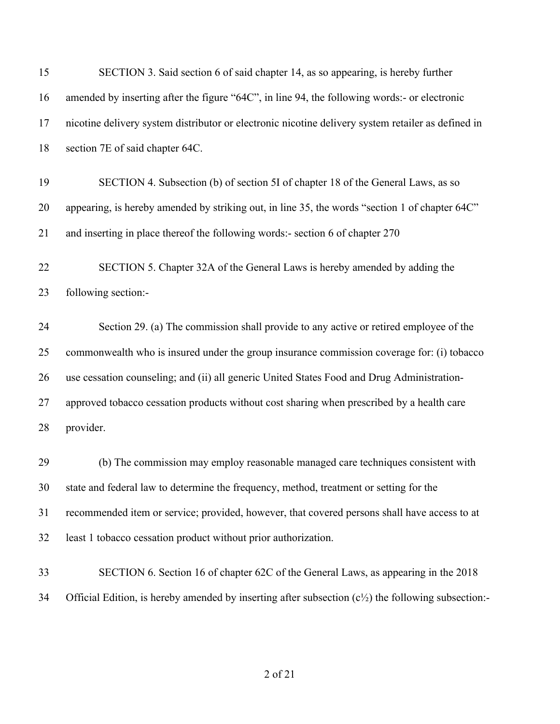| 15 | SECTION 3. Said section 6 of said chapter 14, as so appearing, is hereby further                              |
|----|---------------------------------------------------------------------------------------------------------------|
| 16 | amended by inserting after the figure "64C", in line 94, the following words:- or electronic                  |
| 17 | nicotine delivery system distributor or electronic nicotine delivery system retailer as defined in            |
| 18 | section 7E of said chapter 64C.                                                                               |
| 19 | SECTION 4. Subsection (b) of section 5I of chapter 18 of the General Laws, as so                              |
| 20 | appearing, is hereby amended by striking out, in line 35, the words "section 1 of chapter 64C"                |
| 21 | and inserting in place thereof the following words:- section 6 of chapter 270                                 |
| 22 | SECTION 5. Chapter 32A of the General Laws is hereby amended by adding the                                    |
| 23 | following section:-                                                                                           |
| 24 | Section 29. (a) The commission shall provide to any active or retired employee of the                         |
| 25 | commonwealth who is insured under the group insurance commission coverage for: (i) tobacco                    |
| 26 | use cessation counseling; and (ii) all generic United States Food and Drug Administration-                    |
| 27 | approved tobacco cessation products without cost sharing when prescribed by a health care                     |
| 28 | provider.                                                                                                     |
| 29 | (b) The commission may employ reasonable managed care techniques consistent with                              |
| 30 | state and federal law to determine the frequency, method, treatment or setting for the                        |
| 31 | recommended item or service; provided, however, that covered persons shall have access to at                  |
| 32 | least 1 tobacco cessation product without prior authorization.                                                |
| 33 | SECTION 6. Section 16 of chapter 62C of the General Laws, as appearing in the 2018                            |
| 34 | Official Edition, is hereby amended by inserting after subsection $(c\frac{1}{2})$ the following subsection:- |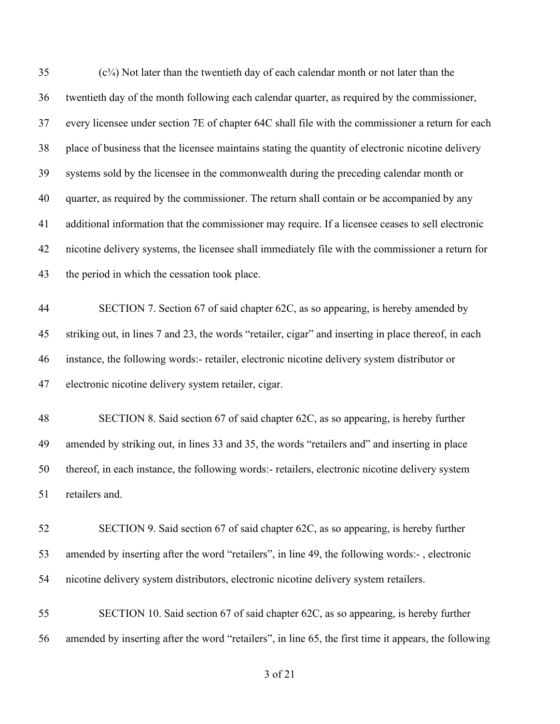| 35 | (c <sup>3</sup> /4) Not later than the twentieth day of each calendar month or not later than the     |
|----|-------------------------------------------------------------------------------------------------------|
| 36 | twentieth day of the month following each calendar quarter, as required by the commissioner,          |
| 37 | every licensee under section 7E of chapter 64C shall file with the commissioner a return for each     |
| 38 | place of business that the licensee maintains stating the quantity of electronic nicotine delivery    |
| 39 | systems sold by the licensee in the commonwealth during the preceding calendar month or               |
| 40 | quarter, as required by the commissioner. The return shall contain or be accompanied by any           |
| 41 | additional information that the commissioner may require. If a licensee ceases to sell electronic     |
| 42 | nicotine delivery systems, the licensee shall immediately file with the commissioner a return for     |
| 43 | the period in which the cessation took place.                                                         |
| 44 | SECTION 7. Section 67 of said chapter 62C, as so appearing, is hereby amended by                      |
| 45 | striking out, in lines 7 and 23, the words "retailer, cigar" and inserting in place thereof, in each  |
| 46 | instance, the following words:- retailer, electronic nicotine delivery system distributor or          |
| 47 | electronic nicotine delivery system retailer, cigar.                                                  |
| 48 | SECTION 8. Said section 67 of said chapter 62C, as so appearing, is hereby further                    |
| 49 | amended by striking out, in lines 33 and 35, the words "retailers and" and inserting in place         |
| 50 | thereof, in each instance, the following words:- retailers, electronic nicotine delivery system       |
| 51 | retailers and.                                                                                        |
| 52 | SECTION 9. Said section 67 of said chapter 62C, as so appearing, is hereby further                    |
| 53 | amended by inserting after the word "retailers", in line 49, the following words:-, electronic        |
| 54 | nicotine delivery system distributors, electronic nicotine delivery system retailers.                 |
| 55 | SECTION 10. Said section 67 of said chapter 62C, as so appearing, is hereby further                   |
| 56 | amended by inserting after the word "retailers", in line 65, the first time it appears, the following |
|    |                                                                                                       |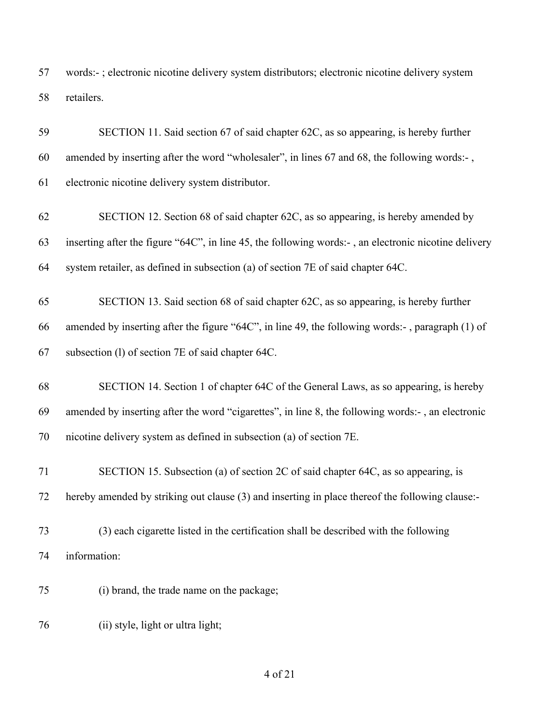words:- ; electronic nicotine delivery system distributors; electronic nicotine delivery system retailers.

| 59 | SECTION 11. Said section 67 of said chapter 62C, as so appearing, is hereby further                  |
|----|------------------------------------------------------------------------------------------------------|
| 60 | amended by inserting after the word "wholesaler", in lines 67 and 68, the following words:-,         |
| 61 | electronic nicotine delivery system distributor.                                                     |
| 62 | SECTION 12. Section 68 of said chapter 62C, as so appearing, is hereby amended by                    |
| 63 | inserting after the figure "64C", in line 45, the following words:-, an electronic nicotine delivery |
| 64 | system retailer, as defined in subsection (a) of section 7E of said chapter 64C.                     |
| 65 | SECTION 13. Said section 68 of said chapter 62C, as so appearing, is hereby further                  |
| 66 | amended by inserting after the figure "64C", in line 49, the following words:-, paragraph (1) of     |
| 67 | subsection (1) of section 7E of said chapter 64C.                                                    |
| 68 | SECTION 14. Section 1 of chapter 64C of the General Laws, as so appearing, is hereby                 |
| 69 | amended by inserting after the word "cigarettes", in line 8, the following words:-, an electronic    |
| 70 | nicotine delivery system as defined in subsection (a) of section 7E.                                 |
| 71 | SECTION 15. Subsection (a) of section 2C of said chapter 64C, as so appearing, is                    |
| 72 | hereby amended by striking out clause (3) and inserting in place thereof the following clause:-      |
| 73 | (3) each cigarette listed in the certification shall be described with the following                 |
| 74 | information:                                                                                         |
|    |                                                                                                      |

(ii) style, light or ultra light;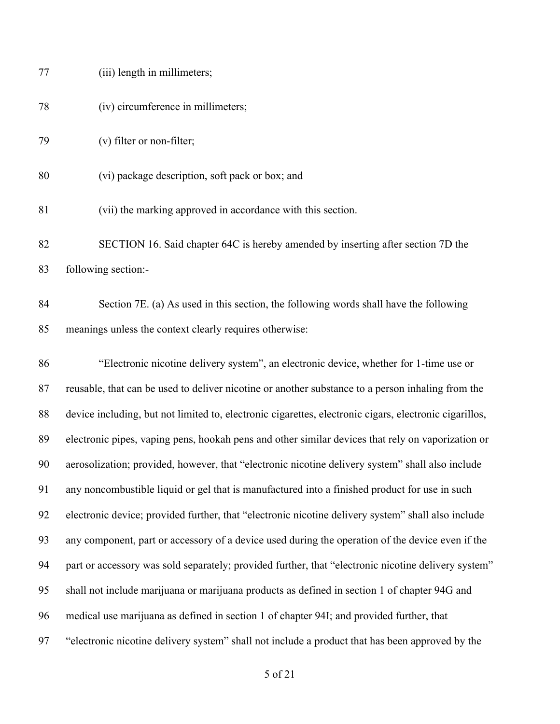| 77 | (iii) length in millimeters;                                                                           |
|----|--------------------------------------------------------------------------------------------------------|
| 78 | (iv) circumference in millimeters;                                                                     |
| 79 | (v) filter or non-filter;                                                                              |
| 80 | (vi) package description, soft pack or box; and                                                        |
| 81 | (vii) the marking approved in accordance with this section.                                            |
| 82 | SECTION 16. Said chapter 64C is hereby amended by inserting after section 7D the                       |
| 83 | following section:-                                                                                    |
| 84 | Section 7E. (a) As used in this section, the following words shall have the following                  |
| 85 | meanings unless the context clearly requires otherwise:                                                |
| 86 | "Electronic nicotine delivery system", an electronic device, whether for 1-time use or                 |
| 87 | reusable, that can be used to deliver nicotine or another substance to a person inhaling from the      |
| 88 | device including, but not limited to, electronic cigarettes, electronic cigars, electronic cigarillos, |
| 89 | electronic pipes, vaping pens, hookah pens and other similar devices that rely on vaporization or      |
| 90 | aerosolization; provided, however, that "electronic nicotine delivery system" shall also include       |
| 91 | any noncombustible liquid or gel that is manufactured into a finished product for use in such          |
| 92 | electronic device; provided further, that "electronic nicotine delivery system" shall also include     |
| 93 | any component, part or accessory of a device used during the operation of the device even if the       |
| 94 | part or accessory was sold separately; provided further, that "electronic nicotine delivery system"    |
| 95 | shall not include marijuana or marijuana products as defined in section 1 of chapter 94G and           |
| 96 | medical use marijuana as defined in section 1 of chapter 94I; and provided further, that               |
| 97 | "electronic nicotine delivery system" shall not include a product that has been approved by the        |
|    | 5 of 21                                                                                                |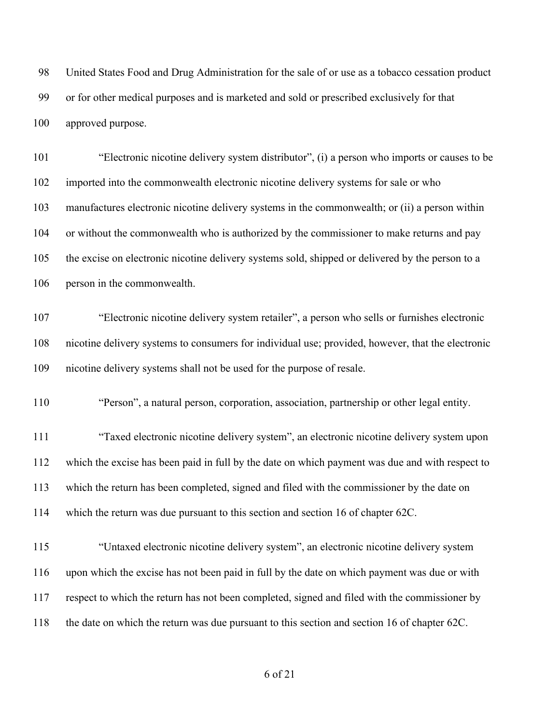United States Food and Drug Administration for the sale of or use as a tobacco cessation product or for other medical purposes and is marketed and sold or prescribed exclusively for that approved purpose.

 "Electronic nicotine delivery system distributor", (i) a person who imports or causes to be imported into the commonwealth electronic nicotine delivery systems for sale or who manufactures electronic nicotine delivery systems in the commonwealth; or (ii) a person within 104 or without the commonwealth who is authorized by the commissioner to make returns and pay the excise on electronic nicotine delivery systems sold, shipped or delivered by the person to a person in the commonwealth.

 "Electronic nicotine delivery system retailer", a person who sells or furnishes electronic nicotine delivery systems to consumers for individual use; provided, however, that the electronic nicotine delivery systems shall not be used for the purpose of resale.

"Person", a natural person, corporation, association, partnership or other legal entity.

 "Taxed electronic nicotine delivery system", an electronic nicotine delivery system upon which the excise has been paid in full by the date on which payment was due and with respect to which the return has been completed, signed and filed with the commissioner by the date on which the return was due pursuant to this section and section 16 of chapter 62C.

 "Untaxed electronic nicotine delivery system", an electronic nicotine delivery system upon which the excise has not been paid in full by the date on which payment was due or with respect to which the return has not been completed, signed and filed with the commissioner by the date on which the return was due pursuant to this section and section 16 of chapter 62C.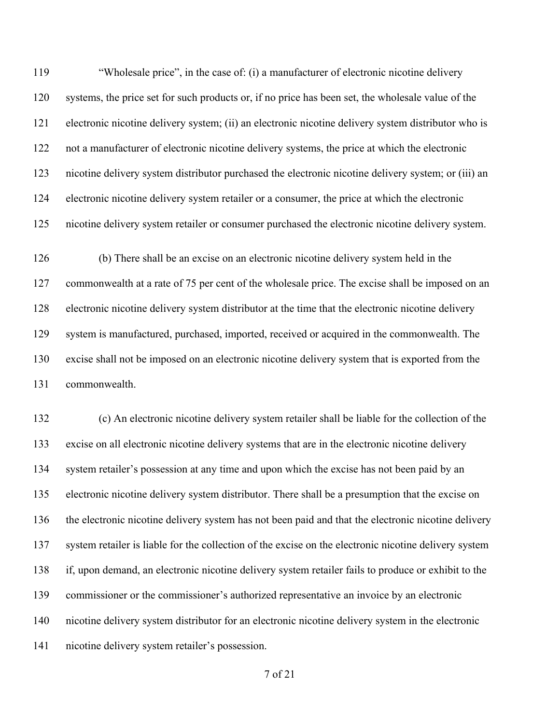"Wholesale price", in the case of: (i) a manufacturer of electronic nicotine delivery systems, the price set for such products or, if no price has been set, the wholesale value of the electronic nicotine delivery system; (ii) an electronic nicotine delivery system distributor who is not a manufacturer of electronic nicotine delivery systems, the price at which the electronic nicotine delivery system distributor purchased the electronic nicotine delivery system; or (iii) an electronic nicotine delivery system retailer or a consumer, the price at which the electronic nicotine delivery system retailer or consumer purchased the electronic nicotine delivery system.

 (b) There shall be an excise on an electronic nicotine delivery system held in the commonwealth at a rate of 75 per cent of the wholesale price. The excise shall be imposed on an electronic nicotine delivery system distributor at the time that the electronic nicotine delivery system is manufactured, purchased, imported, received or acquired in the commonwealth. The excise shall not be imposed on an electronic nicotine delivery system that is exported from the commonwealth.

 (c) An electronic nicotine delivery system retailer shall be liable for the collection of the excise on all electronic nicotine delivery systems that are in the electronic nicotine delivery system retailer's possession at any time and upon which the excise has not been paid by an electronic nicotine delivery system distributor. There shall be a presumption that the excise on the electronic nicotine delivery system has not been paid and that the electronic nicotine delivery system retailer is liable for the collection of the excise on the electronic nicotine delivery system if, upon demand, an electronic nicotine delivery system retailer fails to produce or exhibit to the commissioner or the commissioner's authorized representative an invoice by an electronic nicotine delivery system distributor for an electronic nicotine delivery system in the electronic nicotine delivery system retailer's possession.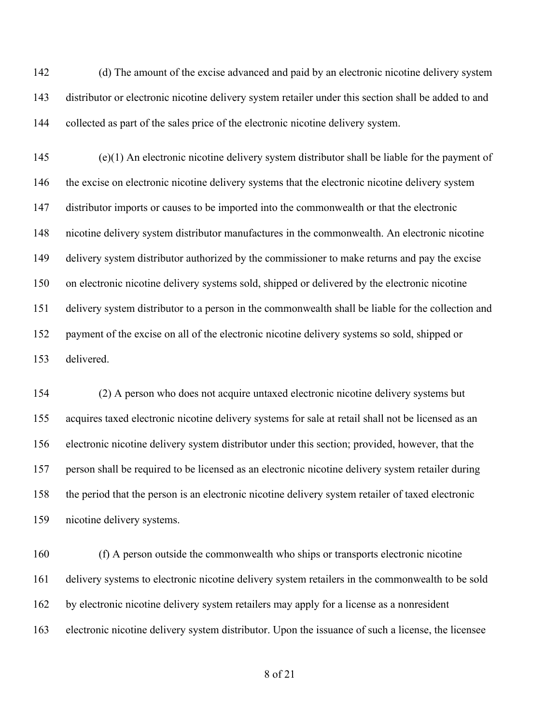(d) The amount of the excise advanced and paid by an electronic nicotine delivery system distributor or electronic nicotine delivery system retailer under this section shall be added to and collected as part of the sales price of the electronic nicotine delivery system.

 (e)(1) An electronic nicotine delivery system distributor shall be liable for the payment of 146 the excise on electronic nicotine delivery systems that the electronic nicotine delivery system distributor imports or causes to be imported into the commonwealth or that the electronic nicotine delivery system distributor manufactures in the commonwealth. An electronic nicotine delivery system distributor authorized by the commissioner to make returns and pay the excise on electronic nicotine delivery systems sold, shipped or delivered by the electronic nicotine delivery system distributor to a person in the commonwealth shall be liable for the collection and payment of the excise on all of the electronic nicotine delivery systems so sold, shipped or delivered.

 (2) A person who does not acquire untaxed electronic nicotine delivery systems but acquires taxed electronic nicotine delivery systems for sale at retail shall not be licensed as an electronic nicotine delivery system distributor under this section; provided, however, that the person shall be required to be licensed as an electronic nicotine delivery system retailer during the period that the person is an electronic nicotine delivery system retailer of taxed electronic nicotine delivery systems.

 (f) A person outside the commonwealth who ships or transports electronic nicotine delivery systems to electronic nicotine delivery system retailers in the commonwealth to be sold by electronic nicotine delivery system retailers may apply for a license as a nonresident electronic nicotine delivery system distributor. Upon the issuance of such a license, the licensee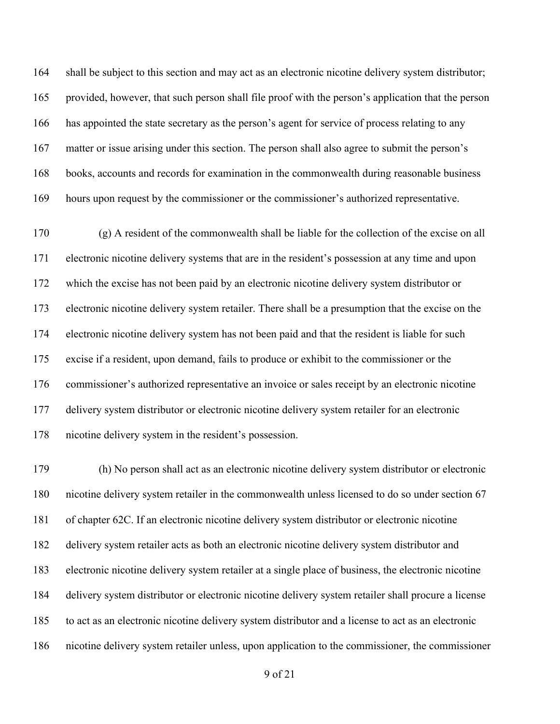shall be subject to this section and may act as an electronic nicotine delivery system distributor; provided, however, that such person shall file proof with the person's application that the person has appointed the state secretary as the person's agent for service of process relating to any matter or issue arising under this section. The person shall also agree to submit the person's books, accounts and records for examination in the commonwealth during reasonable business hours upon request by the commissioner or the commissioner's authorized representative.

 (g) A resident of the commonwealth shall be liable for the collection of the excise on all electronic nicotine delivery systems that are in the resident's possession at any time and upon which the excise has not been paid by an electronic nicotine delivery system distributor or electronic nicotine delivery system retailer. There shall be a presumption that the excise on the electronic nicotine delivery system has not been paid and that the resident is liable for such excise if a resident, upon demand, fails to produce or exhibit to the commissioner or the commissioner's authorized representative an invoice or sales receipt by an electronic nicotine delivery system distributor or electronic nicotine delivery system retailer for an electronic nicotine delivery system in the resident's possession.

 (h) No person shall act as an electronic nicotine delivery system distributor or electronic nicotine delivery system retailer in the commonwealth unless licensed to do so under section 67 of chapter 62C. If an electronic nicotine delivery system distributor or electronic nicotine delivery system retailer acts as both an electronic nicotine delivery system distributor and electronic nicotine delivery system retailer at a single place of business, the electronic nicotine delivery system distributor or electronic nicotine delivery system retailer shall procure a license to act as an electronic nicotine delivery system distributor and a license to act as an electronic nicotine delivery system retailer unless, upon application to the commissioner, the commissioner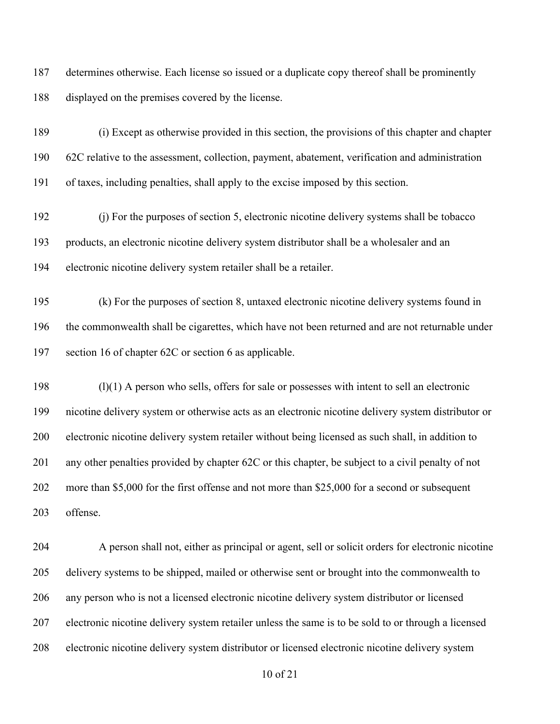determines otherwise. Each license so issued or a duplicate copy thereof shall be prominently displayed on the premises covered by the license.

 (i) Except as otherwise provided in this section, the provisions of this chapter and chapter 62C relative to the assessment, collection, payment, abatement, verification and administration of taxes, including penalties, shall apply to the excise imposed by this section.

 (j) For the purposes of section 5, electronic nicotine delivery systems shall be tobacco products, an electronic nicotine delivery system distributor shall be a wholesaler and an electronic nicotine delivery system retailer shall be a retailer.

 (k) For the purposes of section 8, untaxed electronic nicotine delivery systems found in the commonwealth shall be cigarettes, which have not been returned and are not returnable under section 16 of chapter 62C or section 6 as applicable.

 (l)(1) A person who sells, offers for sale or possesses with intent to sell an electronic nicotine delivery system or otherwise acts as an electronic nicotine delivery system distributor or electronic nicotine delivery system retailer without being licensed as such shall, in addition to any other penalties provided by chapter 62C or this chapter, be subject to a civil penalty of not more than \$5,000 for the first offense and not more than \$25,000 for a second or subsequent offense.

 A person shall not, either as principal or agent, sell or solicit orders for electronic nicotine delivery systems to be shipped, mailed or otherwise sent or brought into the commonwealth to any person who is not a licensed electronic nicotine delivery system distributor or licensed electronic nicotine delivery system retailer unless the same is to be sold to or through a licensed electronic nicotine delivery system distributor or licensed electronic nicotine delivery system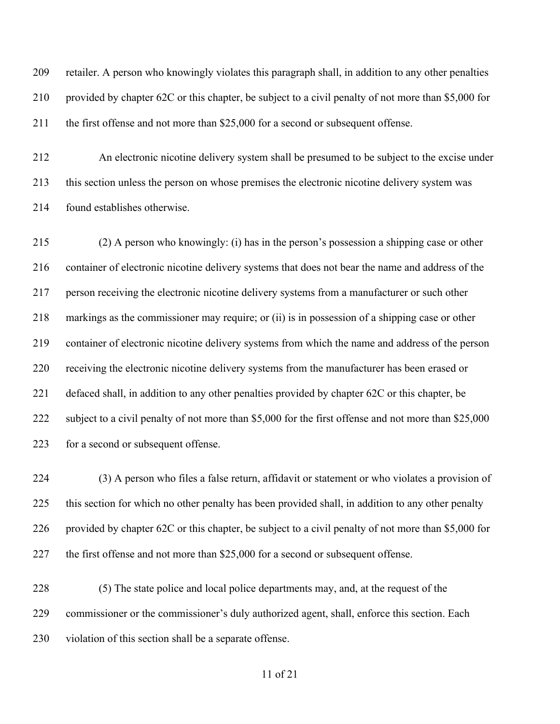retailer. A person who knowingly violates this paragraph shall, in addition to any other penalties provided by chapter 62C or this chapter, be subject to a civil penalty of not more than \$5,000 for the first offense and not more than \$25,000 for a second or subsequent offense.

 An electronic nicotine delivery system shall be presumed to be subject to the excise under this section unless the person on whose premises the electronic nicotine delivery system was found establishes otherwise.

 (2) A person who knowingly: (i) has in the person's possession a shipping case or other container of electronic nicotine delivery systems that does not bear the name and address of the person receiving the electronic nicotine delivery systems from a manufacturer or such other markings as the commissioner may require; or (ii) is in possession of a shipping case or other container of electronic nicotine delivery systems from which the name and address of the person receiving the electronic nicotine delivery systems from the manufacturer has been erased or defaced shall, in addition to any other penalties provided by chapter 62C or this chapter, be 222 subject to a civil penalty of not more than \$5,000 for the first offense and not more than \$25,000 223 for a second or subsequent offense.

 (3) A person who files a false return, affidavit or statement or who violates a provision of this section for which no other penalty has been provided shall, in addition to any other penalty provided by chapter 62C or this chapter, be subject to a civil penalty of not more than \$5,000 for the first offense and not more than \$25,000 for a second or subsequent offense.

 (5) The state police and local police departments may, and, at the request of the commissioner or the commissioner's duly authorized agent, shall, enforce this section. Each violation of this section shall be a separate offense.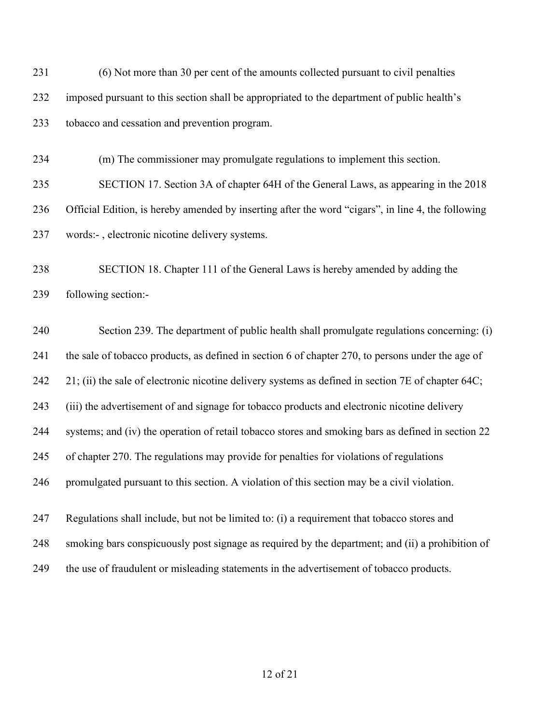(6) Not more than 30 per cent of the amounts collected pursuant to civil penalties imposed pursuant to this section shall be appropriated to the department of public health's tobacco and cessation and prevention program.

(m) The commissioner may promulgate regulations to implement this section.

 SECTION 17. Section 3A of chapter 64H of the General Laws, as appearing in the 2018 Official Edition, is hereby amended by inserting after the word "cigars", in line 4, the following words:- , electronic nicotine delivery systems.

 SECTION 18. Chapter 111 of the General Laws is hereby amended by adding the following section:-

 Section 239. The department of public health shall promulgate regulations concerning: (i) the sale of tobacco products, as defined in section 6 of chapter 270, to persons under the age of 21; (ii) the sale of electronic nicotine delivery systems as defined in section 7E of chapter 64C; (iii) the advertisement of and signage for tobacco products and electronic nicotine delivery systems; and (iv) the operation of retail tobacco stores and smoking bars as defined in section 22 of chapter 270. The regulations may provide for penalties for violations of regulations promulgated pursuant to this section. A violation of this section may be a civil violation. Regulations shall include, but not be limited to: (i) a requirement that tobacco stores and

smoking bars conspicuously post signage as required by the department; and (ii) a prohibition of

the use of fraudulent or misleading statements in the advertisement of tobacco products.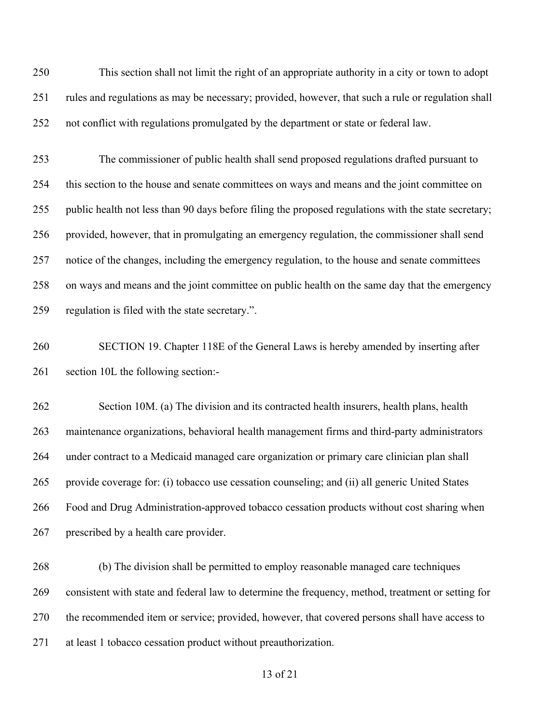This section shall not limit the right of an appropriate authority in a city or town to adopt rules and regulations as may be necessary; provided, however, that such a rule or regulation shall not conflict with regulations promulgated by the department or state or federal law.

 The commissioner of public health shall send proposed regulations drafted pursuant to this section to the house and senate committees on ways and means and the joint committee on public health not less than 90 days before filing the proposed regulations with the state secretary; provided, however, that in promulgating an emergency regulation, the commissioner shall send notice of the changes, including the emergency regulation, to the house and senate committees on ways and means and the joint committee on public health on the same day that the emergency regulation is filed with the state secretary.".

 SECTION 19. Chapter 118E of the General Laws is hereby amended by inserting after section 10L the following section:-

 Section 10M. (a) The division and its contracted health insurers, health plans, health maintenance organizations, behavioral health management firms and third-party administrators under contract to a Medicaid managed care organization or primary care clinician plan shall provide coverage for: (i) tobacco use cessation counseling; and (ii) all generic United States Food and Drug Administration-approved tobacco cessation products without cost sharing when prescribed by a health care provider.

 (b) The division shall be permitted to employ reasonable managed care techniques consistent with state and federal law to determine the frequency, method, treatment or setting for the recommended item or service; provided, however, that covered persons shall have access to at least 1 tobacco cessation product without preauthorization.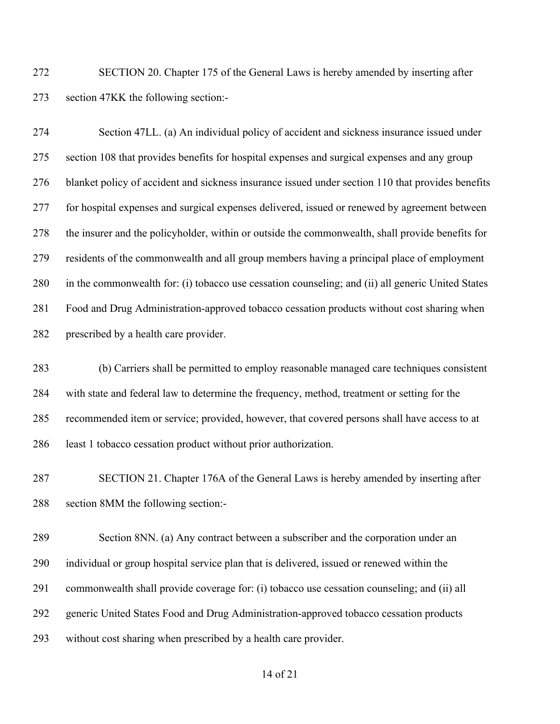SECTION 20. Chapter 175 of the General Laws is hereby amended by inserting after section 47KK the following section:-

 Section 47LL. (a) An individual policy of accident and sickness insurance issued under section 108 that provides benefits for hospital expenses and surgical expenses and any group blanket policy of accident and sickness insurance issued under section 110 that provides benefits for hospital expenses and surgical expenses delivered, issued or renewed by agreement between the insurer and the policyholder, within or outside the commonwealth, shall provide benefits for residents of the commonwealth and all group members having a principal place of employment in the commonwealth for: (i) tobacco use cessation counseling; and (ii) all generic United States Food and Drug Administration-approved tobacco cessation products without cost sharing when prescribed by a health care provider.

 (b) Carriers shall be permitted to employ reasonable managed care techniques consistent with state and federal law to determine the frequency, method, treatment or setting for the recommended item or service; provided, however, that covered persons shall have access to at least 1 tobacco cessation product without prior authorization.

 SECTION 21. Chapter 176A of the General Laws is hereby amended by inserting after section 8MM the following section:-

 Section 8NN. (a) Any contract between a subscriber and the corporation under an individual or group hospital service plan that is delivered, issued or renewed within the commonwealth shall provide coverage for: (i) tobacco use cessation counseling; and (ii) all generic United States Food and Drug Administration-approved tobacco cessation products without cost sharing when prescribed by a health care provider.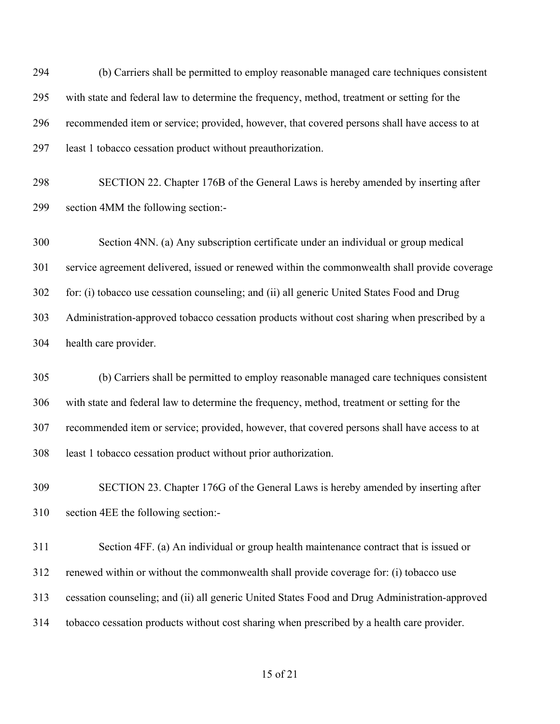(b) Carriers shall be permitted to employ reasonable managed care techniques consistent with state and federal law to determine the frequency, method, treatment or setting for the recommended item or service; provided, however, that covered persons shall have access to at least 1 tobacco cessation product without preauthorization.

 SECTION 22. Chapter 176B of the General Laws is hereby amended by inserting after section 4MM the following section:-

 Section 4NN. (a) Any subscription certificate under an individual or group medical service agreement delivered, issued or renewed within the commonwealth shall provide coverage for: (i) tobacco use cessation counseling; and (ii) all generic United States Food and Drug Administration-approved tobacco cessation products without cost sharing when prescribed by a health care provider.

 (b) Carriers shall be permitted to employ reasonable managed care techniques consistent with state and federal law to determine the frequency, method, treatment or setting for the recommended item or service; provided, however, that covered persons shall have access to at least 1 tobacco cessation product without prior authorization.

 SECTION 23. Chapter 176G of the General Laws is hereby amended by inserting after section 4EE the following section:-

 Section 4FF. (a) An individual or group health maintenance contract that is issued or renewed within or without the commonwealth shall provide coverage for: (i) tobacco use cessation counseling; and (ii) all generic United States Food and Drug Administration-approved tobacco cessation products without cost sharing when prescribed by a health care provider.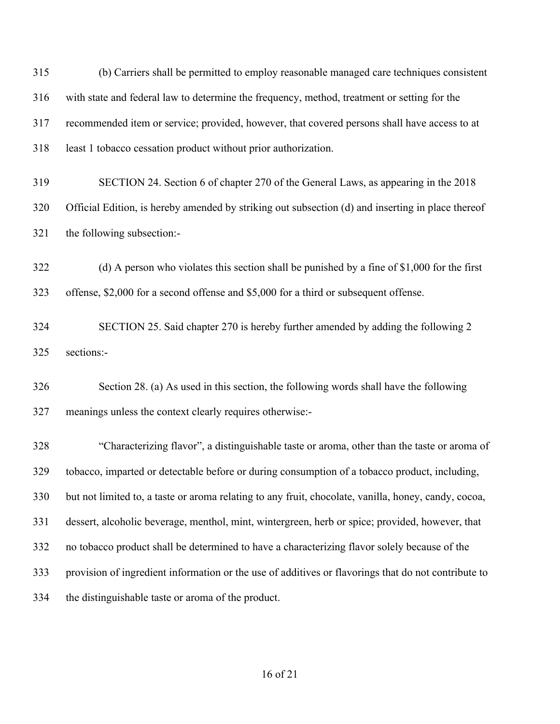(b) Carriers shall be permitted to employ reasonable managed care techniques consistent with state and federal law to determine the frequency, method, treatment or setting for the recommended item or service; provided, however, that covered persons shall have access to at least 1 tobacco cessation product without prior authorization. SECTION 24. Section 6 of chapter 270 of the General Laws, as appearing in the 2018 Official Edition, is hereby amended by striking out subsection (d) and inserting in place thereof the following subsection:- (d) A person who violates this section shall be punished by a fine of \$1,000 for the first offense, \$2,000 for a second offense and \$5,000 for a third or subsequent offense. SECTION 25. Said chapter 270 is hereby further amended by adding the following 2 sections:- Section 28. (a) As used in this section, the following words shall have the following meanings unless the context clearly requires otherwise:- "Characterizing flavor", a distinguishable taste or aroma, other than the taste or aroma of tobacco, imparted or detectable before or during consumption of a tobacco product, including, but not limited to, a taste or aroma relating to any fruit, chocolate, vanilla, honey, candy, cocoa, dessert, alcoholic beverage, menthol, mint, wintergreen, herb or spice; provided, however, that

- no tobacco product shall be determined to have a characterizing flavor solely because of the
- provision of ingredient information or the use of additives or flavorings that do not contribute to
- the distinguishable taste or aroma of the product.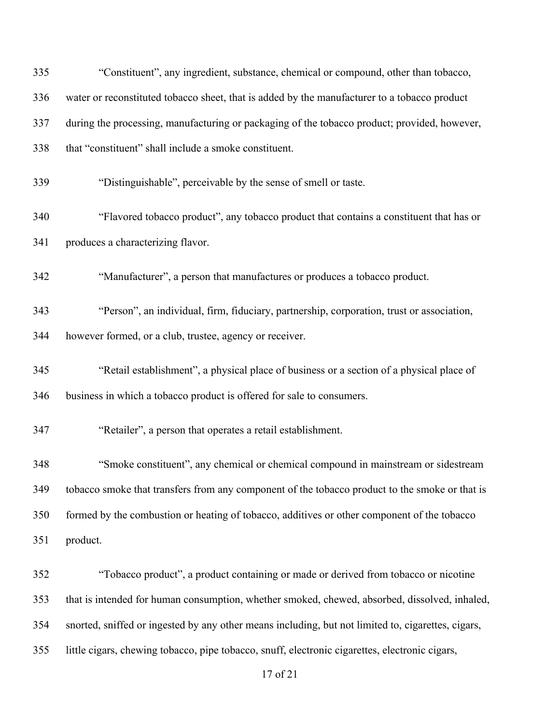| 335 | "Constituent", any ingredient, substance, chemical or compound, other than tobacco,                |
|-----|----------------------------------------------------------------------------------------------------|
| 336 | water or reconstituted tobacco sheet, that is added by the manufacturer to a tobacco product       |
| 337 | during the processing, manufacturing or packaging of the tobacco product; provided, however,       |
| 338 | that "constituent" shall include a smoke constituent.                                              |
| 339 | "Distinguishable", perceivable by the sense of smell or taste.                                     |
| 340 | "Flavored tobacco product", any tobacco product that contains a constituent that has or            |
| 341 | produces a characterizing flavor.                                                                  |
| 342 | "Manufacturer", a person that manufactures or produces a tobacco product.                          |
| 343 | "Person", an individual, firm, fiduciary, partnership, corporation, trust or association,          |
| 344 | however formed, or a club, trustee, agency or receiver.                                            |
| 345 | "Retail establishment", a physical place of business or a section of a physical place of           |
| 346 | business in which a tobacco product is offered for sale to consumers.                              |
| 347 | "Retailer", a person that operates a retail establishment.                                         |
| 348 | "Smoke constituent", any chemical or chemical compound in mainstream or sidestream                 |
| 349 | tobacco smoke that transfers from any component of the tobacco product to the smoke or that is     |
| 350 | formed by the combustion or heating of tobacco, additives or other component of the tobacco        |
| 351 | product.                                                                                           |
| 352 | "Tobacco product", a product containing or made or derived from tobacco or nicotine                |
| 353 | that is intended for human consumption, whether smoked, chewed, absorbed, dissolved, inhaled,      |
| 354 | snorted, sniffed or ingested by any other means including, but not limited to, cigarettes, cigars, |
| 355 | little cigars, chewing tobacco, pipe tobacco, snuff, electronic cigarettes, electronic cigars,     |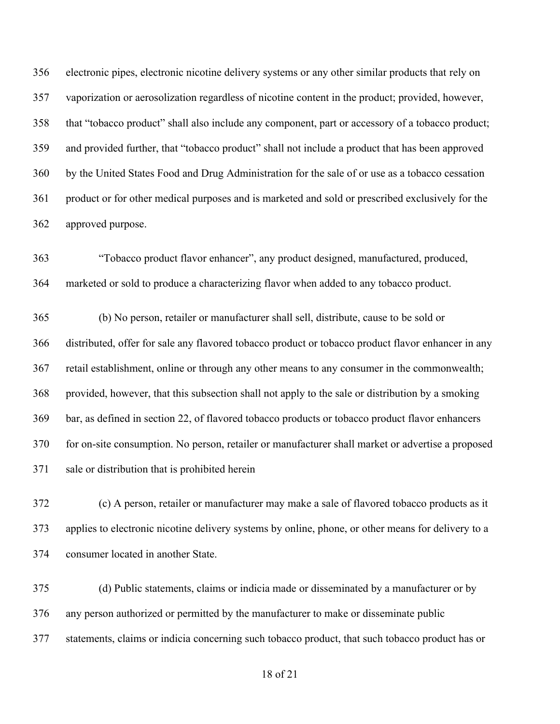electronic pipes, electronic nicotine delivery systems or any other similar products that rely on vaporization or aerosolization regardless of nicotine content in the product; provided, however, that "tobacco product" shall also include any component, part or accessory of a tobacco product; and provided further, that "tobacco product" shall not include a product that has been approved by the United States Food and Drug Administration for the sale of or use as a tobacco cessation product or for other medical purposes and is marketed and sold or prescribed exclusively for the approved purpose.

 "Tobacco product flavor enhancer", any product designed, manufactured, produced, marketed or sold to produce a characterizing flavor when added to any tobacco product.

 (b) No person, retailer or manufacturer shall sell, distribute, cause to be sold or distributed, offer for sale any flavored tobacco product or tobacco product flavor enhancer in any retail establishment, online or through any other means to any consumer in the commonwealth; provided, however, that this subsection shall not apply to the sale or distribution by a smoking bar, as defined in section 22, of flavored tobacco products or tobacco product flavor enhancers for on-site consumption. No person, retailer or manufacturer shall market or advertise a proposed sale or distribution that is prohibited herein

 (c) A person, retailer or manufacturer may make a sale of flavored tobacco products as it applies to electronic nicotine delivery systems by online, phone, or other means for delivery to a consumer located in another State.

 (d) Public statements, claims or indicia made or disseminated by a manufacturer or by any person authorized or permitted by the manufacturer to make or disseminate public statements, claims or indicia concerning such tobacco product, that such tobacco product has or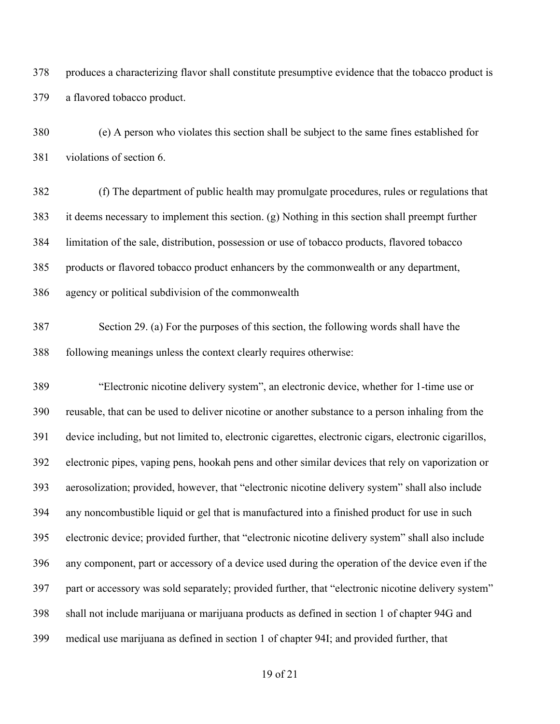produces a characterizing flavor shall constitute presumptive evidence that the tobacco product is a flavored tobacco product.

 (e) A person who violates this section shall be subject to the same fines established for violations of section 6.

 (f) The department of public health may promulgate procedures, rules or regulations that it deems necessary to implement this section. (g) Nothing in this section shall preempt further limitation of the sale, distribution, possession or use of tobacco products, flavored tobacco products or flavored tobacco product enhancers by the commonwealth or any department, agency or political subdivision of the commonwealth

 Section 29. (a) For the purposes of this section, the following words shall have the following meanings unless the context clearly requires otherwise:

 "Electronic nicotine delivery system", an electronic device, whether for 1-time use or reusable, that can be used to deliver nicotine or another substance to a person inhaling from the device including, but not limited to, electronic cigarettes, electronic cigars, electronic cigarillos, electronic pipes, vaping pens, hookah pens and other similar devices that rely on vaporization or aerosolization; provided, however, that "electronic nicotine delivery system" shall also include any noncombustible liquid or gel that is manufactured into a finished product for use in such electronic device; provided further, that "electronic nicotine delivery system" shall also include any component, part or accessory of a device used during the operation of the device even if the part or accessory was sold separately; provided further, that "electronic nicotine delivery system" shall not include marijuana or marijuana products as defined in section 1 of chapter 94G and medical use marijuana as defined in section 1 of chapter 94I; and provided further, that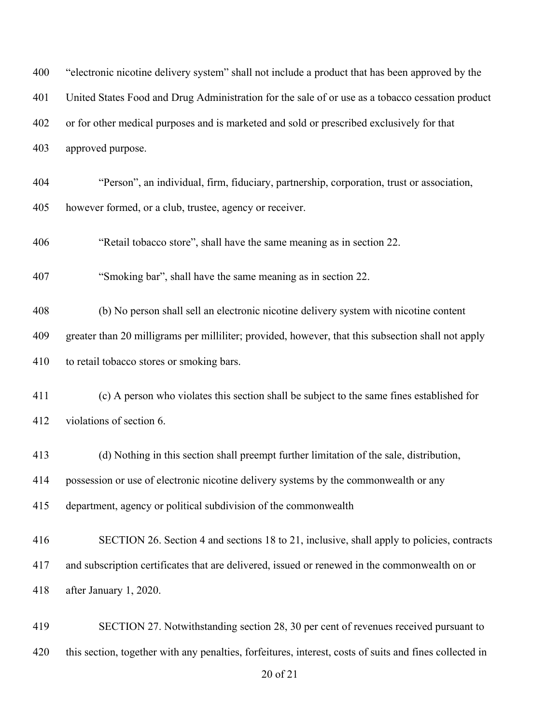| 400 | "electronic nicotine delivery system" shall not include a product that has been approved by the         |
|-----|---------------------------------------------------------------------------------------------------------|
| 401 | United States Food and Drug Administration for the sale of or use as a tobacco cessation product        |
| 402 | or for other medical purposes and is marketed and sold or prescribed exclusively for that               |
| 403 | approved purpose.                                                                                       |
| 404 | "Person", an individual, firm, fiduciary, partnership, corporation, trust or association,               |
| 405 | however formed, or a club, trustee, agency or receiver.                                                 |
| 406 | "Retail tobacco store", shall have the same meaning as in section 22.                                   |
| 407 | "Smoking bar", shall have the same meaning as in section 22.                                            |
| 408 | (b) No person shall sell an electronic nicotine delivery system with nicotine content                   |
| 409 | greater than 20 milligrams per milliliter; provided, however, that this subsection shall not apply      |
| 410 | to retail tobacco stores or smoking bars.                                                               |
| 411 | (c) A person who violates this section shall be subject to the same fines established for               |
| 412 | violations of section 6.                                                                                |
| 413 | (d) Nothing in this section shall preempt further limitation of the sale, distribution,                 |
| 414 | possession or use of electronic nicotine delivery systems by the commonwealth or any                    |
| 415 | department, agency or political subdivision of the commonwealth                                         |
| 416 | SECTION 26. Section 4 and sections 18 to 21, inclusive, shall apply to policies, contracts              |
| 417 | and subscription certificates that are delivered, issued or renewed in the commonwealth on or           |
| 418 | after January 1, 2020.                                                                                  |
| 419 | SECTION 27. Notwithstanding section 28, 30 per cent of revenues received pursuant to                    |
| 420 | this section, together with any penalties, forfeitures, interest, costs of suits and fines collected in |